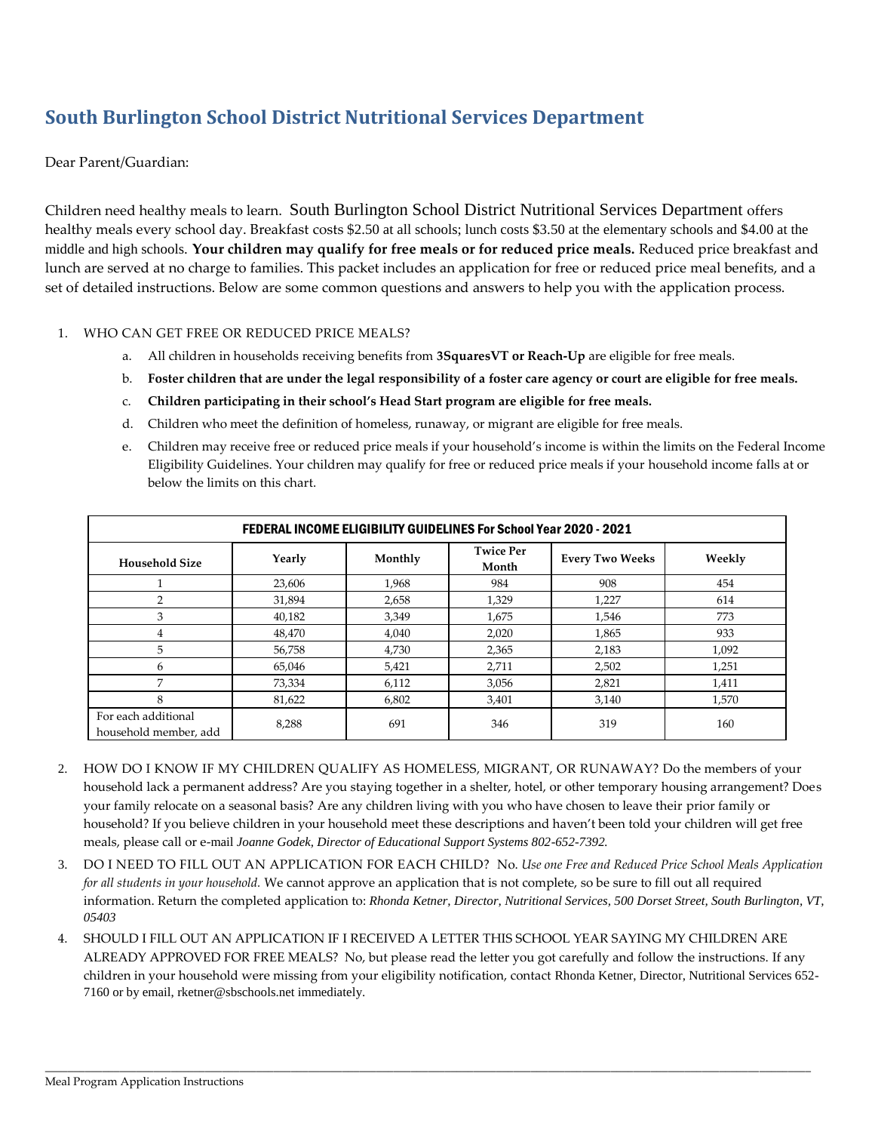# **South Burlington School District Nutritional Services Department**

Dear Parent/Guardian:

Children need healthy meals to learn. South Burlington School District Nutritional Services Department offers healthy meals every school day. Breakfast costs \$2.50 at all schools; lunch costs \$3.50 at the elementary schools and \$4.00 at the middle and high schools. **Your children may qualify for free meals or for reduced price meals.** Reduced price breakfast and lunch are served at no charge to families. This packet includes an application for free or reduced price meal benefits, and a set of detailed instructions. Below are some common questions and answers to help you with the application process.

#### 1. WHO CAN GET FREE OR REDUCED PRICE MEALS?

- a. All children in households receiving benefits from **3SquaresVT or Reach-Up** are eligible for free meals.
- b. **Foster children that are under the legal responsibility of a foster care agency or court are eligible for free meals.**
- c. **Children participating in their school's Head Start program are eligible for free meals.**
- d. Children who meet the definition of homeless, runaway, or migrant are eligible for free meals.
- e. Children may receive free or reduced price meals if your household's income is within the limits on the Federal Income Eligibility Guidelines. Your children may qualify for free or reduced price meals if your household income falls at or below the limits on this chart.

| FEDERAL INCOME ELIGIBILITY GUIDELINES For School Year 2020 - 2021 |        |         |                           |                        |        |  |  |  |  |
|-------------------------------------------------------------------|--------|---------|---------------------------|------------------------|--------|--|--|--|--|
| <b>Household Size</b>                                             | Yearly | Monthly | <b>Twice Per</b><br>Month | <b>Every Two Weeks</b> | Weekly |  |  |  |  |
|                                                                   | 23,606 | 1,968   | 984                       | 908                    | 454    |  |  |  |  |
| 2                                                                 | 31,894 | 2,658   | 1,329                     | 1,227                  | 614    |  |  |  |  |
| 3                                                                 | 40,182 | 3,349   | 1,675                     | 1,546                  | 773    |  |  |  |  |
| 4                                                                 | 48,470 | 4,040   | 2,020                     | 1,865                  | 933    |  |  |  |  |
| 5                                                                 | 56,758 | 4,730   | 2,365                     | 2,183                  | 1,092  |  |  |  |  |
| 6                                                                 | 65,046 | 5,421   | 2,711                     | 2,502                  | 1,251  |  |  |  |  |
| 7                                                                 | 73,334 | 6,112   | 3,056                     | 2,821                  | 1,411  |  |  |  |  |
| 8                                                                 | 81,622 | 6,802   | 3,401                     | 3,140                  | 1,570  |  |  |  |  |
| For each additional<br>household member, add                      | 8,288  | 691     | 346                       | 319                    | 160    |  |  |  |  |

- 2. HOW DO I KNOW IF MY CHILDREN QUALIFY AS HOMELESS, MIGRANT, OR RUNAWAY? Do the members of your household lack a permanent address? Are you staying together in a shelter, hotel, or other temporary housing arrangement? Does your family relocate on a seasonal basis? Are any children living with you who have chosen to leave their prior family or household? If you believe children in your household meet these descriptions and haven't been told your children will get free meals, please call or e-mail *Joanne Godek, Director of Educational Support Systems 802-652-7392.*
- 3. DO I NEED TO FILL OUT AN APPLICATION FOR EACH CHILD? No. *Use one Free and Reduced Price School Meals Application for all students in your household.* We cannot approve an application that is not complete, so be sure to fill out all required information. Return the completed application to: *Rhonda Ketner, Director, Nutritional Services, 500 Dorset Street, South Burlington, VT, 05403*
- 4. SHOULD I FILL OUT AN APPLICATION IF I RECEIVED A LETTER THIS SCHOOL YEAR SAYING MY CHILDREN ARE ALREADY APPROVED FOR FREE MEALS? No, but please read the letter you got carefully and follow the instructions. If any children in your household were missing from your eligibility notification, contact Rhonda Ketner, Director, Nutritional Services 652- 7160 or by email, rketner@sbschools.net immediately.

\_\_\_\_\_\_\_\_\_\_\_\_\_\_\_\_\_\_\_\_\_\_\_\_\_\_\_\_\_\_\_\_\_\_\_\_\_\_\_\_\_\_\_\_\_\_\_\_\_\_\_\_\_\_\_\_\_\_\_\_\_\_\_\_\_\_\_\_\_\_\_\_\_\_\_\_\_\_\_\_\_\_\_\_\_\_\_\_\_\_\_\_\_\_\_\_\_\_\_\_\_\_\_\_\_\_\_\_\_\_\_\_\_\_\_\_\_\_\_\_\_\_\_\_\_\_\_\_\_\_\_\_\_\_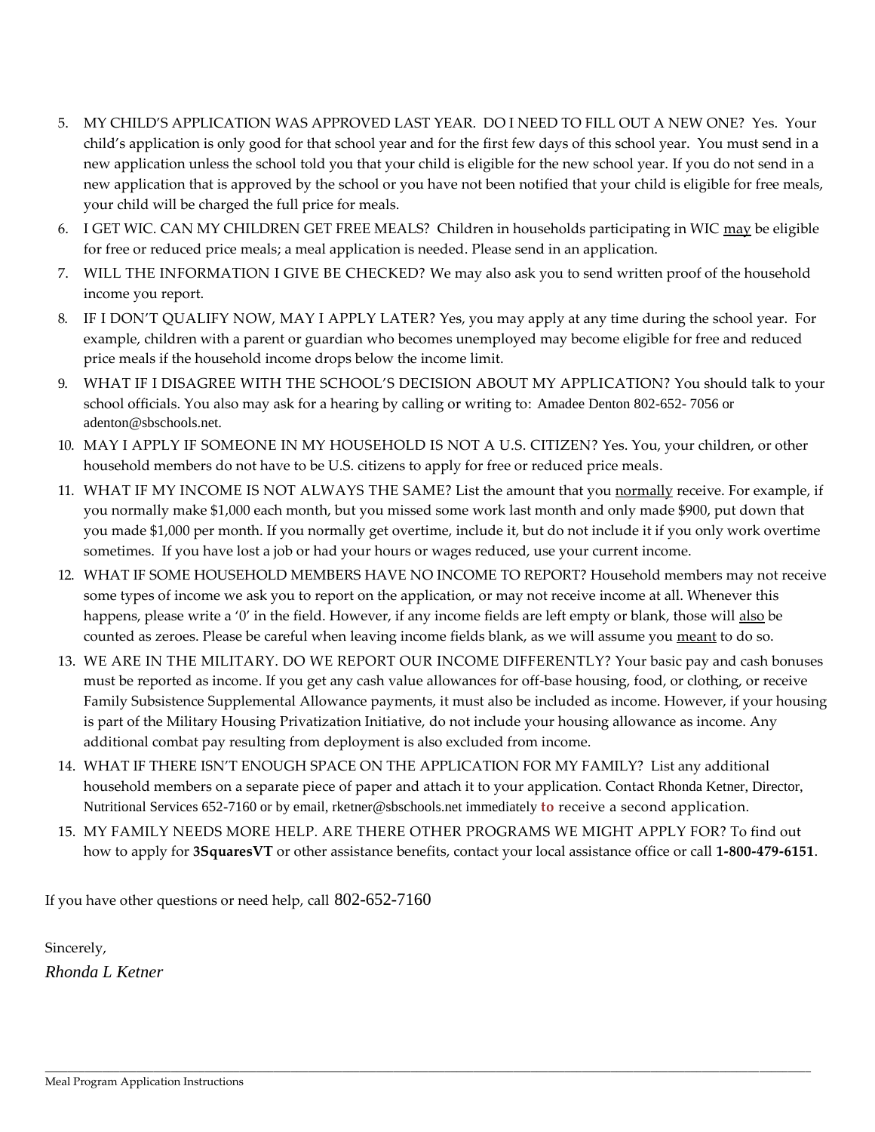- 5. MY CHILD'S APPLICATION WAS APPROVED LAST YEAR. DO I NEED TO FILL OUT A NEW ONE? Yes. Your child's application is only good for that school year and for the first few days of this school year. You must send in a new application unless the school told you that your child is eligible for the new school year. If you do not send in a new application that is approved by the school or you have not been notified that your child is eligible for free meals, your child will be charged the full price for meals.
- 6. I GET WIC. CAN MY CHILDREN GET FREE MEALS? Children in households participating in WIC may be eligible for free or reduced price meals; a meal application is needed. Please send in an application.
- 7. WILL THE INFORMATION I GIVE BE CHECKED? We may also ask you to send written proof of the household income you report.
- 8. IF I DON'T QUALIFY NOW, MAY I APPLY LATER? Yes, you may apply at any time during the school year. For example, children with a parent or guardian who becomes unemployed may become eligible for free and reduced price meals if the household income drops below the income limit.
- 9. WHAT IF I DISAGREE WITH THE SCHOOL'S DECISION ABOUT MY APPLICATION? You should talk to your school officials. You also may ask for a hearing by calling or writing to: Amadee Denton 802-652- 7056 or adenton@sbschools.net.
- 10. MAY I APPLY IF SOMEONE IN MY HOUSEHOLD IS NOT A U.S. CITIZEN? Yes. You, your children, or other household members do not have to be U.S. citizens to apply for free or reduced price meals.
- 11. WHAT IF MY INCOME IS NOT ALWAYS THE SAME? List the amount that you normally receive. For example, if you normally make \$1,000 each month, but you missed some work last month and only made \$900, put down that you made \$1,000 per month. If you normally get overtime, include it, but do not include it if you only work overtime sometimes. If you have lost a job or had your hours or wages reduced, use your current income.
- 12. WHAT IF SOME HOUSEHOLD MEMBERS HAVE NO INCOME TO REPORT? Household members may not receive some types of income we ask you to report on the application, or may not receive income at all. Whenever this happens, please write a '0' in the field. However, if any income fields are left empty or blank, those will also be counted as zeroes. Please be careful when leaving income fields blank, as we will assume you meant to do so.
- 13. WE ARE IN THE MILITARY. DO WE REPORT OUR INCOME DIFFERENTLY? Your basic pay and cash bonuses must be reported as income. If you get any cash value allowances for off-base housing, food, or clothing, or receive Family Subsistence Supplemental Allowance payments, it must also be included as income. However, if your housing is part of the Military Housing Privatization Initiative, do not include your housing allowance as income. Any additional combat pay resulting from deployment is also excluded from income.
- 14. WHAT IF THERE ISN'T ENOUGH SPACE ON THE APPLICATION FOR MY FAMILY? List any additional household members on a separate piece of paper and attach it to your application. Contact Rhonda Ketner, Director, Nutritional Services 652-7160 or by email, rketner@sbschools.net immediately **to** receive a second application.
- 15. MY FAMILY NEEDS MORE HELP. ARE THERE OTHER PROGRAMS WE MIGHT APPLY FOR? To find out how to apply for **3SquaresVT** or other assistance benefits, contact your local assistance office or call **1-800-479-6151**.

\_\_\_\_\_\_\_\_\_\_\_\_\_\_\_\_\_\_\_\_\_\_\_\_\_\_\_\_\_\_\_\_\_\_\_\_\_\_\_\_\_\_\_\_\_\_\_\_\_\_\_\_\_\_\_\_\_\_\_\_\_\_\_\_\_\_\_\_\_\_\_\_\_\_\_\_\_\_\_\_\_\_\_\_\_\_\_\_\_\_\_\_\_\_\_\_\_\_\_\_\_\_\_\_\_\_\_\_\_\_\_\_\_\_\_\_\_\_\_\_\_\_\_\_\_\_\_\_\_\_\_\_\_\_

If you have other questions or need help, call 802-652-7160

Sincerely, *Rhonda L Ketner*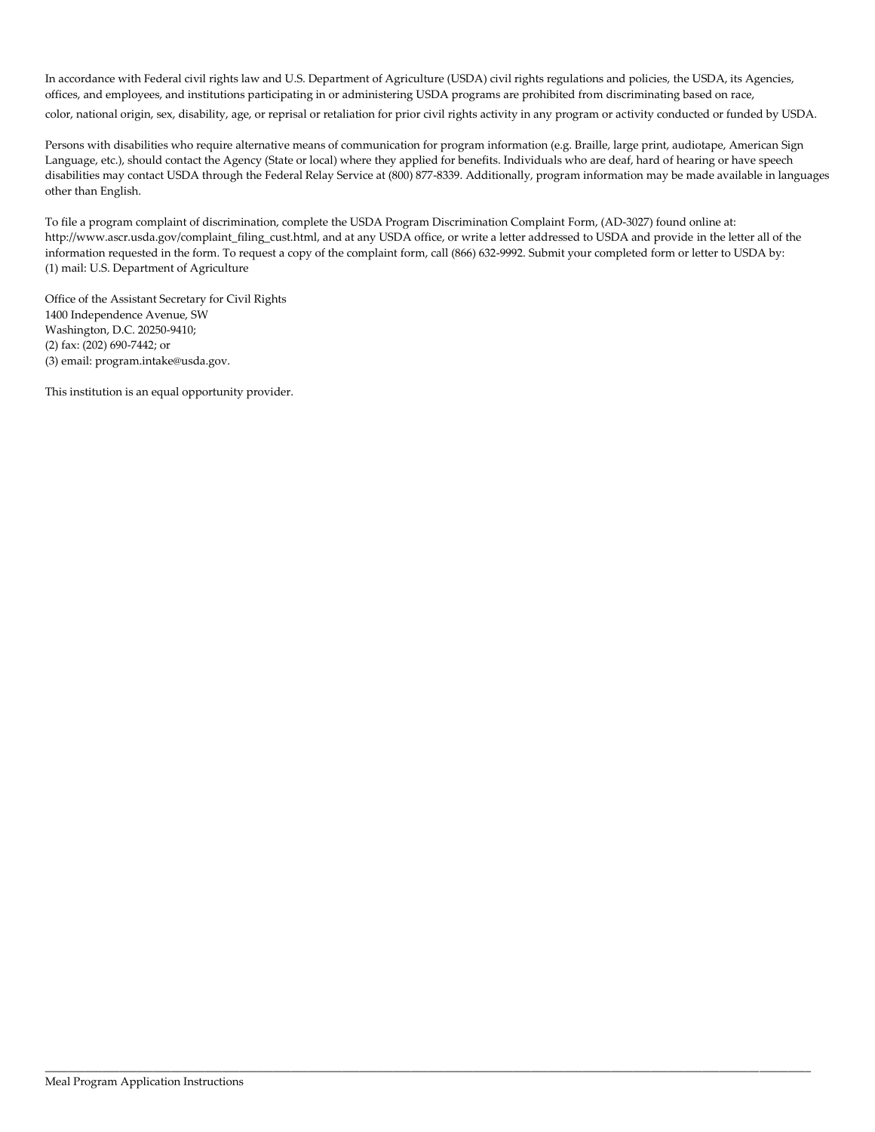In accordance with Federal civil rights law and U.S. Department of Agriculture (USDA) civil rights regulations and policies, the USDA, its Agencies, offices, and employees, and institutions participating in or administering USDA programs are prohibited from discriminating based on race, color, national origin, sex, disability, age, or reprisal or retaliation for prior civil rights activity in any program or activity conducted or funded by USDA.

Persons with disabilities who require alternative means of communication for program information (e.g. Braille, large print, audiotape, American Sign Language, etc.), should contact the Agency (State or local) where they applied for benefits. Individuals who are deaf, hard of hearing or have speech disabilities may contact USDA through the Federal Relay Service at (800) 877-8339. Additionally, program information may be made available in languages other than English.

To file a program complaint of discrimination, complete the USDA Program Discrimination Complaint Form, (AD-3027) found online at: http://www.ascr.usda.gov/complaint\_filing\_cust.html, and at any USDA office, or write a letter addressed to USDA and provide in the letter all of the information requested in the form. To request a copy of the complaint form, call (866) 632-9992. Submit your completed form or letter to USDA by: (1) mail: U.S. Department of Agriculture

\_\_\_\_\_\_\_\_\_\_\_\_\_\_\_\_\_\_\_\_\_\_\_\_\_\_\_\_\_\_\_\_\_\_\_\_\_\_\_\_\_\_\_\_\_\_\_\_\_\_\_\_\_\_\_\_\_\_\_\_\_\_\_\_\_\_\_\_\_\_\_\_\_\_\_\_\_\_\_\_\_\_\_\_\_\_\_\_\_\_\_\_\_\_\_\_\_\_\_\_\_\_\_\_\_\_\_\_\_\_\_\_\_\_\_\_\_\_\_\_\_\_\_\_\_\_\_\_\_\_\_\_\_\_

Office of the Assistant Secretary for Civil Rights 1400 Independence Avenue, SW Washington, D.C. 20250-9410; (2) fax: (202) 690-7442; or (3) email: program.intake@usda.gov.

This institution is an equal opportunity provider.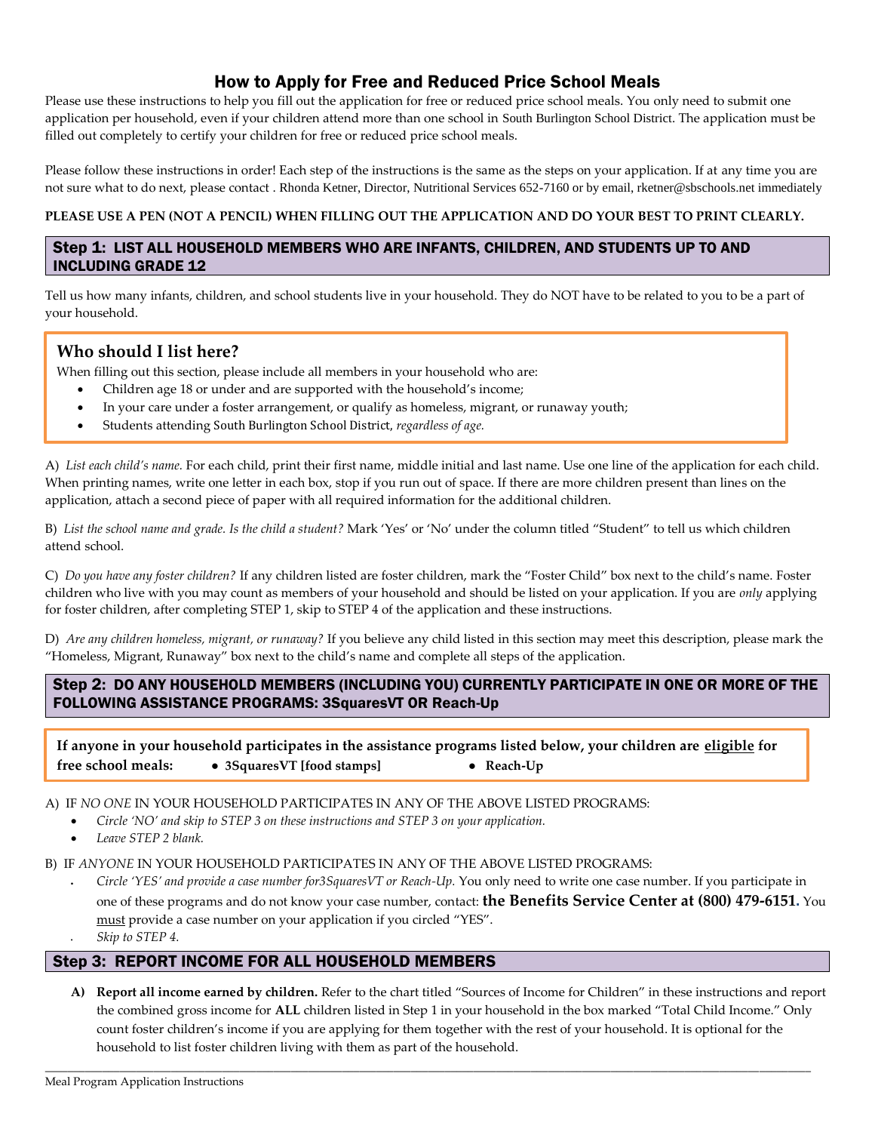# How to Apply for Free and Reduced Price School Meals

Please use these instructions to help you fill out the application for free or reduced price school meals. You only need to submit one application per household, even if your children attend more than one school in South Burlington School District. The application must be filled out completely to certify your children for free or reduced price school meals.

Please follow these instructions in order! Each step of the instructions is the same as the steps on your application. If at any time you are not sure what to do next, please contact . Rhonda Ketner, Director, Nutritional Services 652-7160 or by email, rketner@sbschools.net immediately

#### **PLEASE USE A PEN (NOT A PENCIL) WHEN FILLING OUT THE APPLICATION AND DO YOUR BEST TO PRINT CLEARLY.**

### Step 1: LIST ALL HOUSEHOLD MEMBERS WHO ARE INFANTS, CHILDREN, AND STUDENTS UP TO AND INCLUDING GRADE 12

Tell us how many infants, children, and school students live in your household. They do NOT have to be related to you to be a part of your household.

## **Who should I list here?**

When filling out this section, please include all members in your household who are:

- Children age 18 or under and are supported with the household's income;
- In your care under a foster arrangement, or qualify as homeless, migrant, or runaway youth;
- Students attending South Burlington School District, *regardless of age.*

A) *List each child's name.* For each child, print their first name, middle initial and last name. Use one line of the application for each child. When printing names, write one letter in each box, stop if you run out of space. If there are more children present than lines on the application, attach a second piece of paper with all required information for the additional children.

B) *List the school name and grade. Is the child a student?* Mark 'Yes' or 'No' under the column titled "Student" to tell us which children attend school.

C) *Do you have any foster children?* If any children listed are foster children, mark the "Foster Child" box next to the child's name. Foster children who live with you may count as members of your household and should be listed on your application. If you are *only* applying for foster children, after completing STEP 1, skip to STEP 4 of the application and these instructions.

D) *Are any children homeless, migrant, or runaway?* If you believe any child listed in this section may meet this description, please mark the "Homeless, Migrant, Runaway" box next to the child's name and complete all steps of the application.

Step 2: DO ANY HOUSEHOLD MEMBERS (INCLUDING YOU) CURRENTLY PARTICIPATE IN ONE OR MORE OF THE FOLLOWING ASSISTANCE PROGRAMS: 3SquaresVT OR Reach-Up

**If anyone in your household participates in the assistance programs listed below, your children are eligible for free school meals: ● 3SquaresVT [food stamps] ● Reach-Up**

A) IF *NO ONE* IN YOUR HOUSEHOLD PARTICIPATES IN ANY OF THE ABOVE LISTED PROGRAMS:

- *Circle 'NO' and skip to STEP 3 on these instructions and STEP 3 on your application.*
	- *Leave STEP 2 blank.*

B) IF *ANYONE* IN YOUR HOUSEHOLD PARTICIPATES IN ANY OF THE ABOVE LISTED PROGRAMS:

• *Circle 'YES' and provide a case number for3SquaresVT or Reach-Up.* You only need to write one case number. If you participate in one of these programs and do not know your case number, contact: **the Benefits Service Center at (800) 479-6151.** You must provide a case number on your application if you circled "YES". • *Skip to STEP 4.*

### Step 3: REPORT INCOME FOR ALL HOUSEHOLD MEMBERS

**A) Report all income earned by children.** Refer to the chart titled "Sources of Income for Children" in these instructions and report the combined gross income for **ALL** children listed in Step 1 in your household in the box marked "Total Child Income." Only count foster children's income if you are applying for them together with the rest of your household. It is optional for the household to list foster children living with them as part of the household.

\_\_\_\_\_\_\_\_\_\_\_\_\_\_\_\_\_\_\_\_\_\_\_\_\_\_\_\_\_\_\_\_\_\_\_\_\_\_\_\_\_\_\_\_\_\_\_\_\_\_\_\_\_\_\_\_\_\_\_\_\_\_\_\_\_\_\_\_\_\_\_\_\_\_\_\_\_\_\_\_\_\_\_\_\_\_\_\_\_\_\_\_\_\_\_\_\_\_\_\_\_\_\_\_\_\_\_\_\_\_\_\_\_\_\_\_\_\_\_\_\_\_\_\_\_\_\_\_\_\_\_\_\_\_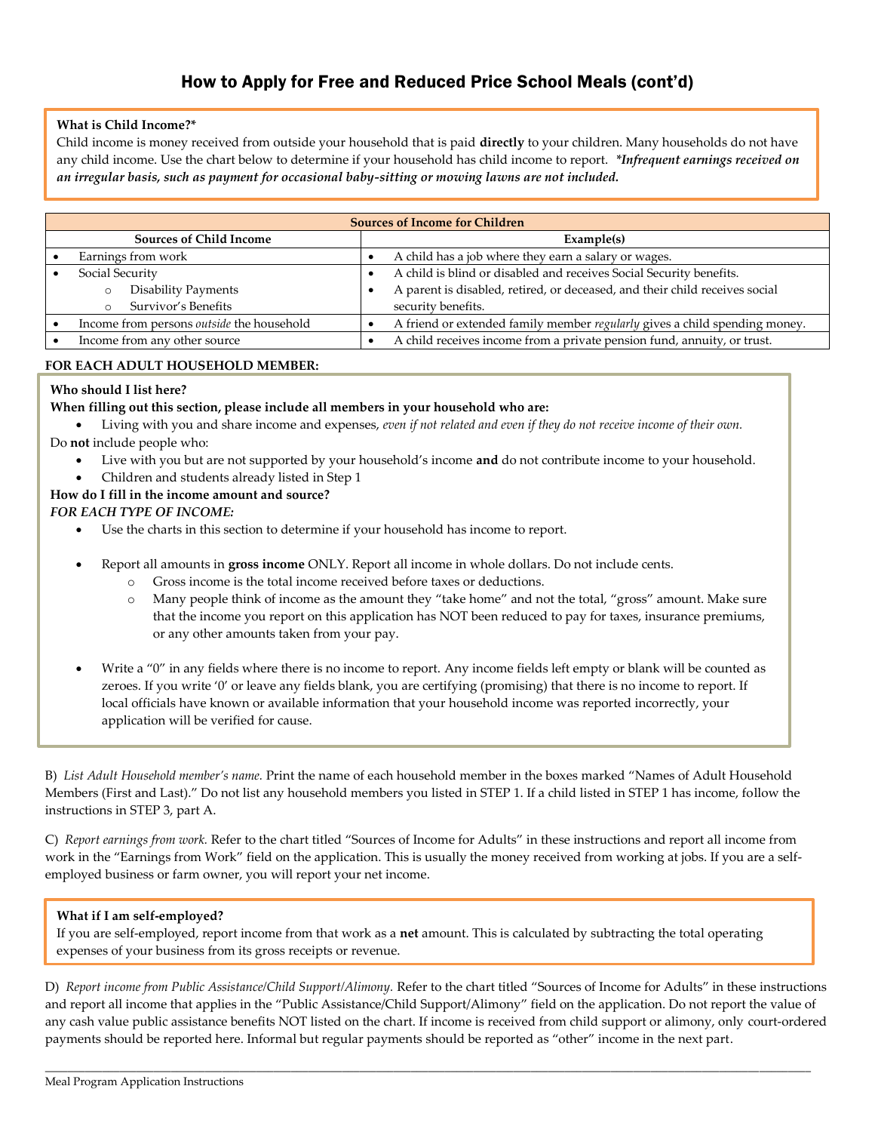# How to Apply for Free and Reduced Price School Meals (cont'd)

#### **What is Child Income?\***

Child income is money received from outside your household that is paid **directly** to your children. Many households do not have any child income. Use the chart below to determine if your household has child income to report. *\*Infrequent earnings received on an irregular basis, such as payment for occasional baby-sitting or mowing lawns are not included.* 

| <b>Sources of Income for Children</b> |                                                  |            |                                                                             |  |  |
|---------------------------------------|--------------------------------------------------|------------|-----------------------------------------------------------------------------|--|--|
| <b>Sources of Child Income</b>        |                                                  | Example(s) |                                                                             |  |  |
|                                       | Earnings from work                               |            | A child has a job where they earn a salary or wages.                        |  |  |
|                                       | Social Security                                  |            | A child is blind or disabled and receives Social Security benefits.         |  |  |
|                                       | <b>Disability Payments</b>                       |            | A parent is disabled, retired, or deceased, and their child receives social |  |  |
|                                       | Survivor's Benefits                              |            | security benefits.                                                          |  |  |
|                                       | Income from persons <i>outside</i> the household |            | A friend or extended family member regularly gives a child spending money.  |  |  |
|                                       | Income from any other source                     |            | A child receives income from a private pension fund, annuity, or trust.     |  |  |

#### **FOR EACH ADULT HOUSEHOLD MEMBER:**

#### **Who should I list here?**

#### **When filling out this section, please include all members in your household who are:**

• Living with you and share income and expenses, *even if not related and even if they do not receive income of their own.*

Do **not** include people who:

- Live with you but are not supported by your household's income **and** do not contribute income to your household.
- Children and students already listed in Step 1

#### **How do I fill in the income amount and source?**

*FOR EACH TYPE OF INCOME:*

- Use the charts in this section to determine if your household has income to report.
- Report all amounts in **gross income** ONLY. Report all income in whole dollars. Do not include cents.
	- o Gross income is the total income received before taxes or deductions.
		- Many people think of income as the amount they "take home" and not the total, "gross" amount. Make sure that the income you report on this application has NOT been reduced to pay for taxes, insurance premiums, or any other amounts taken from your pay.
- Write a "0" in any fields where there is no income to report. Any income fields left empty or blank will be counted as zeroes. If you write '0' or leave any fields blank, you are certifying (promising) that there is no income to report. If local officials have known or available information that your household income was reported incorrectly, your application will be verified for cause.

B) *List Adult Household member's name.* Print the name of each household member in the boxes marked "Names of Adult Household Members (First and Last)." Do not list any household members you listed in STEP 1. If a child listed in STEP 1 has income, follow the instructions in STEP 3, part A.

C) *Report earnings from work.* Refer to the chart titled "Sources of Income for Adults" in these instructions and report all income from work in the "Earnings from Work" field on the application. This is usually the money received from working at jobs. If you are a selfemployed business or farm owner, you will report your net income.

#### **What if I am self-employed?**

If you are self-employed, report income from that work as a **net** amount. This is calculated by subtracting the total operating expenses of your business from its gross receipts or revenue.

D) *Report income from Public Assistance/Child Support/Alimony.* Refer to the chart titled "Sources of Income for Adults" in these instructions and report all income that applies in the "Public Assistance/Child Support/Alimony" field on the application. Do not report the value of any cash value public assistance benefits NOT listed on the chart. If income is received from child support or alimony, only court-ordered payments should be reported here. Informal but regular payments should be reported as "other" income in the next part.

\_\_\_\_\_\_\_\_\_\_\_\_\_\_\_\_\_\_\_\_\_\_\_\_\_\_\_\_\_\_\_\_\_\_\_\_\_\_\_\_\_\_\_\_\_\_\_\_\_\_\_\_\_\_\_\_\_\_\_\_\_\_\_\_\_\_\_\_\_\_\_\_\_\_\_\_\_\_\_\_\_\_\_\_\_\_\_\_\_\_\_\_\_\_\_\_\_\_\_\_\_\_\_\_\_\_\_\_\_\_\_\_\_\_\_\_\_\_\_\_\_\_\_\_\_\_\_\_\_\_\_\_\_\_